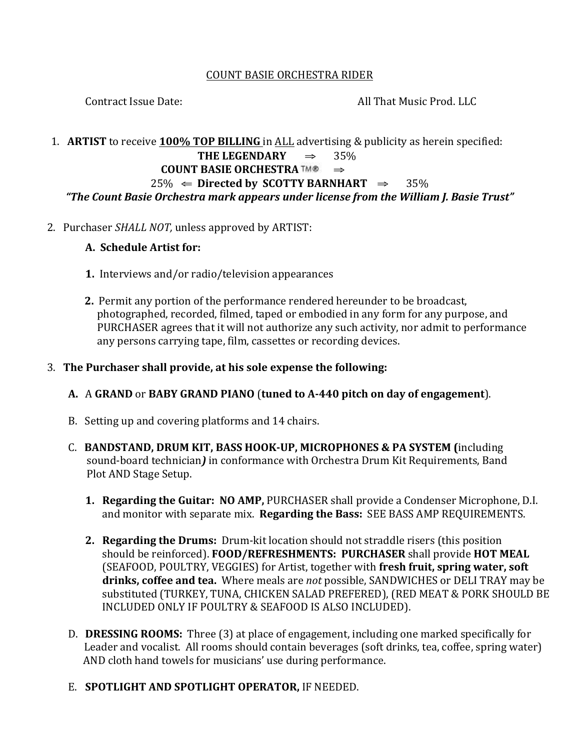#### **COUNT BASIE ORCHESTRA RIDER**

Contract Issue Date:

All That Music Prod. LLC

#### 1. ARTIST to receive 100% TOP BILLING in ALL advertising & publicity as herein specified: THE LEGENDARY 35%  $\Rightarrow$ **COUNT BASIE ORCHESTRA TM®**  $\Rightarrow$  $25\% \Leftarrow$  Directed by SCOTTY BARNHART  $\Rightarrow$  35% "The Count Basie Orchestra mark appears under license from the William J. Basie Trust"

2. Purchaser SHALL NOT, unless approved by ARTIST:

## A. Schedule Artist for:

- 1. Interviews and/or radio/television appearances
- 2. Permit any portion of the performance rendered hereunder to be broadcast, photographed, recorded, filmed, taped or embodied in any form for any purpose, and PURCHASER agrees that it will not authorize any such activity, nor admit to performance any persons carrying tape, film, cassettes or recording devices.

## 3. The Purchaser shall provide, at his sole expense the following:

# A. A GRAND or BABY GRAND PIANO (tuned to A-440 pitch on day of engagement).

- B. Setting up and covering platforms and 14 chairs.
- C. BANDSTAND, DRUM KIT, BASS HOOK-UP, MICROPHONES & PA SYSTEM (including sound-board technician) in conformance with Orchestra Drum Kit Requirements, Band Plot AND Stage Setup.
	- 1. Regarding the Guitar: NO AMP, PURCHASER shall provide a Condenser Microphone, D.I. and monitor with separate mix. Regarding the Bass: SEE BASS AMP REQUIREMENTS.
	- 2. Regarding the Drums: Drum-kit location should not straddle risers (this position should be reinforced). FOOD/REFRESHMENTS: PURCHASER shall provide HOT MEAL (SEAFOOD, POULTRY, VEGGIES) for Artist, together with fresh fruit, spring water, soft drinks, coffee and tea. Where meals are not possible, SANDWICHES or DELI TRAY may be substituted (TURKEY, TUNA, CHICKEN SALAD PREFERED), (RED MEAT & PORK SHOULD BE INCLUDED ONLY IF POULTRY & SEAFOOD IS ALSO INCLUDED).
- D. DRESSING ROOMS: Three (3) at place of engagement, including one marked specifically for Leader and vocalist. All rooms should contain beverages (soft drinks, tea, coffee, spring water) AND cloth hand towels for musicians' use during performance.

# E. SPOTLIGHT AND SPOTLIGHT OPERATOR, IF NEEDED.